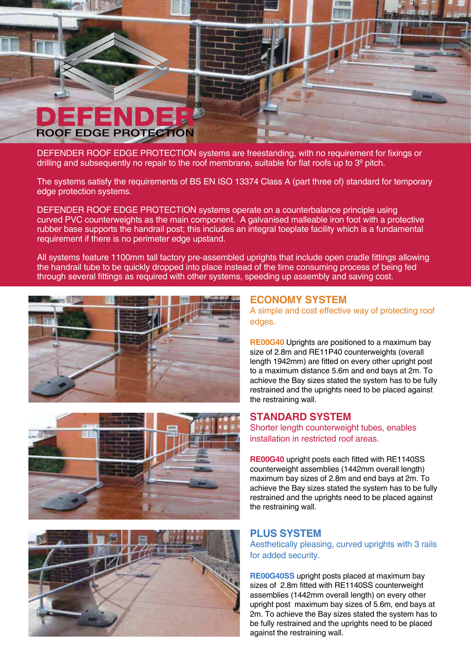

DEFENDER ROOF EDGE PROTECTION systems are freestanding, with no requirement for ixings or drilling and subsequently no repair to the roof membrane, suitable for flat roofs up to  $3<sup>°</sup>$  pitch.

The systems satisfy the requirements of BS EN ISO 13374 Class A (part three of) standard for temporary edge protection systems.

DEFENDER ROOF EDGE PROTECTION systems operate on a counterbalance principle using curved PVC counterweights as the main component. A galvanised malleable iron foot with a protective rubber base supports the handrail post; this includes an integral toeplate facility which is a fundamental requirement if there is no perimeter edge upstand.

All systems feature 1100mm tall factory pre-assembled uprights that include open cradle ittings allowing the handrail tube to be quickly dropped into place instead of the time consuming process of being fed through several ittings as required with other systems, speeding up assembly and saving cost.







### **ECONOMY SYSTEM**

A simple and cost effective way of protecting roof edges.

**RE00G40** Uprights are positioned to a maximum bay size of 2.8m and RE11P40 counterweights (overall length 1942mm) are itted on every other upright post to a maximum distance 5.6m and end bays at 2m. To achieve the Bay sizes stated the system has to be fully restrained and the uprights need to be placed against the restraining wall.

#### **STANDARD SYSTEM**

Shorter length counterweight tubes, enables installation in restricted roof areas.

**RE00G40** upright posts each fitted with RE1140SS counterweight assemblies (1442mm overall length) maximum bay sizes of 2.8m and end bays at 2m. To achieve the Bay sizes stated the system has to be fully restrained and the uprights need to be placed against the restraining wall.

#### **PLUS SYSTEM**

Aesthetically pleasing, curved uprights with 3 rails for added security.

**RE00G40SS** upright posts placed at maximum bay sizes of 2.8m fitted with RE1140SS counterweight assemblies (1442mm overall length) on every other upright post maximum bay sizes of 5.6m, end bays at 2m. To achieve the Bay sizes stated the system has to be fully restrained and the uprights need to be placed against the restraining wall.